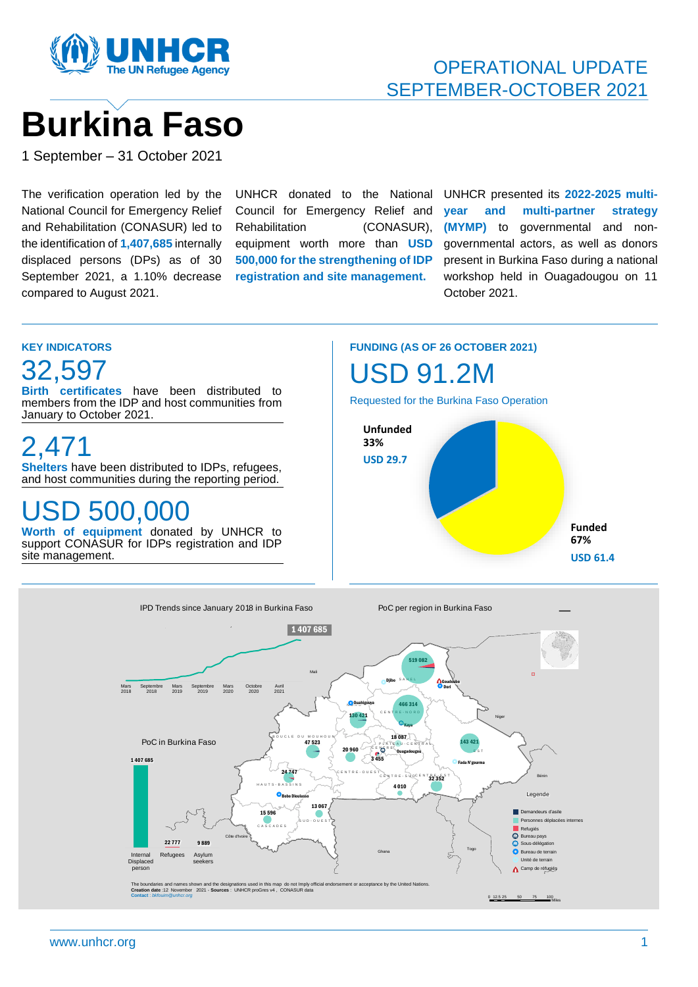

# OPERATIONAL UPDATE SEPTEMBER-OCTOBER 2021

# **Burkina Faso**

1 September – 31 October 2021

The verification operation led by the National Council for Emergency Relief and Rehabilitation (CONASUR) led to the identification of **1,407,685** internally displaced persons (DPs) as of 30 September 2021, a 1.10% decrease compared to August 2021.

UNHCR donated to the National Council for Emergency Relief and Rehabilitation (CONASUR), equipment worth more than **USD 500,000 for the strengthening of IDP registration and site management.**

UNHCR presented its **2022-2025 multiyear and multi-partner strategy (MYMP)** to governmental and nongovernmental actors, as well as donors present in Burkina Faso during a national workshop held in Ouagadougou on 11 October 2021.



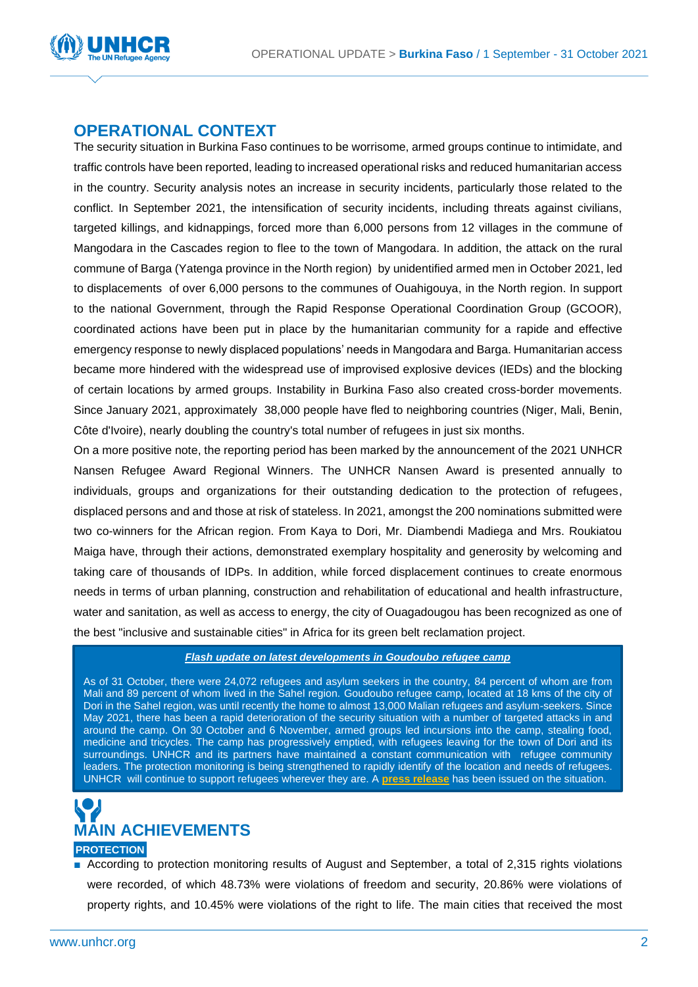

## **OPERATIONAL CONTEXT**

The security situation in Burkina Faso continues to be worrisome, armed groups continue to intimidate, and traffic controls have been reported, leading to increased operational risks and reduced humanitarian access in the country. Security analysis notes an increase in security incidents, particularly those related to the conflict. In September 2021, the intensification of security incidents, including threats against civilians, targeted killings, and kidnappings, forced more than 6,000 persons from 12 villages in the commune of Mangodara in the Cascades region to flee to the town of Mangodara. In addition, the attack on the rural commune of Barga (Yatenga province in the North region) by unidentified armed men in October 2021, led to displacements of over 6,000 persons to the communes of Ouahigouya, in the North region. In support to the national Government, through the Rapid Response Operational Coordination Group (GCOOR), coordinated actions have been put in place by the humanitarian community for a rapide and effective emergency response to newly displaced populations' needs in Mangodara and Barga. Humanitarian access became more hindered with the widespread use of improvised explosive devices (IEDs) and the blocking of certain locations by armed groups. Instability in Burkina Faso also created cross-border movements. Since January 2021, approximately 38,000 people have fled to neighboring countries (Niger, Mali, Benin, Côte d'Ivoire), nearly doubling the country's total number of refugees in just six months.

On a more positive note, the reporting period has been marked by the announcement of the 2021 UNHCR Nansen Refugee Award Regional Winners. The UNHCR Nansen Award is presented annually to individuals, groups and organizations for their outstanding dedication to the protection of refugees, displaced persons and and those at risk of stateless. In 2021, amongst the 200 nominations submitted were two co-winners for the African region. From Kaya to Dori, Mr. Diambendi Madiega and Mrs. Roukiatou Maiga have, through their actions, demonstrated exemplary hospitality and generosity by welcoming and taking care of thousands of IDPs. In addition, while forced displacement continues to create enormous needs in terms of urban planning, construction and rehabilitation of educational and health infrastructure, water and sanitation, as well as access to energy, the city of Ouagadougou has been recognized as one of the best "inclusive and sustainable cities" in Africa for its green belt reclamation project.

#### *Flash update on latest developments in Goudoubo refugee camp*

As of 31 October, there were 24,072 refugees and asylum seekers in the country, 84 percent of whom are from Mali and 89 percent of whom lived in the Sahel region. Goudoubo refugee camp, located at 18 kms of the city of Dori in the Sahel region, was until recently the home to almost 13,000 Malian refugees and asylum-seekers. Since May 2021, there has been a rapid deterioration of the security situation with a number of targeted attacks in and around the camp. On 30 October and 6 November, armed groups led incursions into the camp, stealing food, medicine and tricycles. The camp has progressively emptied, with refugees leaving for the town of Dori and its surroundings. UNHCR and its partners have maintained a constant communication with refugee community leaders. The protection monitoring is being strengthened to rapidly identify of the location and needs of refugees. UNHCR will continue to support refugees wherever they are. A **[press release](https://data2.unhcr.org/fr/documents/details/89608?fbclid=IwAR2OMBizB-C9Fm2yUsGrqku_vPzcfQdQjLTmEaC1QSKKXz0kf1HlIowp5Tw)** has been issued on the situation.



■ According to protection monitoring results of August and September, a total of 2,315 rights violations were recorded, of which 48.73% were violations of freedom and security, 20.86% were violations of property rights, and 10.45% were violations of the right to life. The main cities that received the most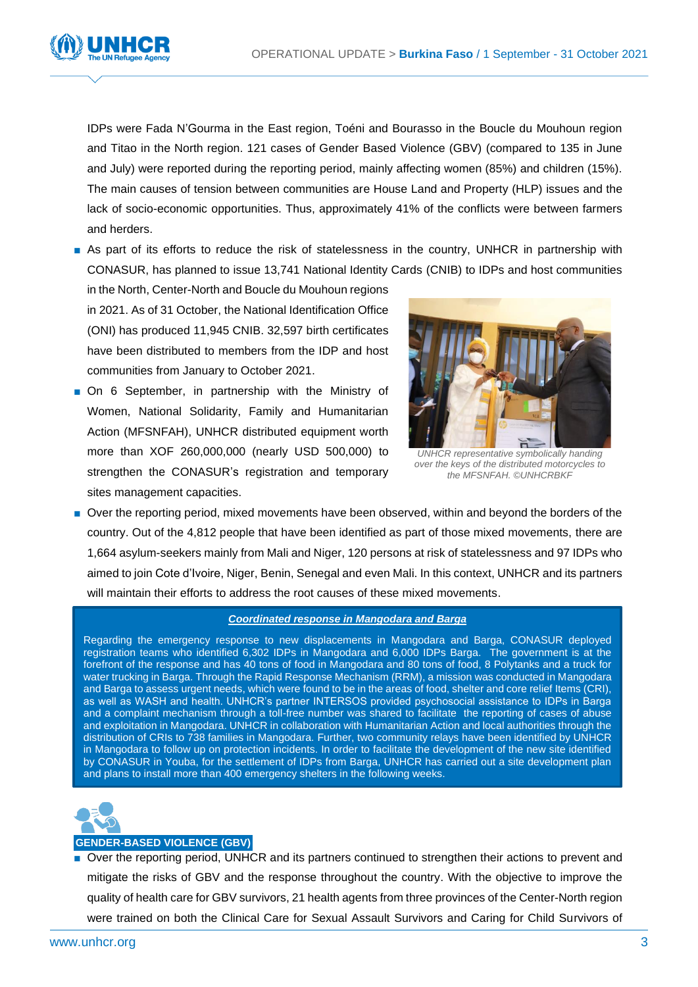

IDPs were Fada N'Gourma in the East region, Toéni and Bourasso in the Boucle du Mouhoun region and Titao in the North region. 121 cases of Gender Based Violence (GBV) (compared to 135 in June and July) were reported during the reporting period, mainly affecting women (85%) and children (15%). The main causes of tension between communities are House Land and Property (HLP) issues and the lack of socio-economic opportunities. Thus, approximately 41% of the conflicts were between farmers and herders.

■ As part of its efforts to reduce the risk of statelessness in the country, UNHCR in partnership with CONASUR, has planned to issue 13,741 National Identity Cards (CNIB) to IDPs and host communities

in the North, Center-North and Boucle du Mouhoun regions in 2021. As of 31 October, the National Identification Office (ONI) has produced 11,945 CNIB. 32,597 birth certificates have been distributed to members from the IDP and host communities from January to October 2021.

■ On 6 September, in partnership with the Ministry of Women, National Solidarity, Family and Humanitarian Action (MFSNFAH), UNHCR distributed equipment worth more than XOF 260,000,000 (nearly USD 500,000) to strengthen the CONASUR's registration and temporary sites management capacities.



*UNHCR representative symbolically handing over the keys of the distributed motorcycles to the MFSNFAH. ©UNHCRBKF* 

■ Over the reporting period, mixed movements have been observed, within and beyond the borders of the country. Out of the 4,812 people that have been identified as part of those mixed movements, there are 1,664 asylum-seekers mainly from Mali and Niger, 120 persons at risk of statelessness and 97 IDPs who aimed to join Cote d'Ivoire, Niger, Benin, Senegal and even Mali. In this context, UNHCR and its partners will maintain their efforts to address the root causes of these mixed movements.

#### *Coordinated response in Mangodara and Barga*

Regarding the emergency response to new displacements in Mangodara and Barga, CONASUR deployed registration teams who identified 6,302 IDPs in Mangodara and 6,000 IDPs Barga. The government is at the forefront of the response and has 40 tons of food in Mangodara and 80 tons of food, 8 Polytanks and a truck for water trucking in Barga. Through the Rapid Response Mechanism (RRM), a mission was conducted in Mangodara and Barga to assess urgent needs, which were found to be in the areas of food, shelter and core relief Items (CRI), as well as WASH and health. UNHCR's partner INTERSOS provided psychosocial assistance to IDPs in Barga and a complaint mechanism through a toll-free number was shared to facilitate the reporting of cases of abuse and exploitation in Mangodara. UNHCR in collaboration with Humanitarian Action and local authorities through the distribution of CRIs to 738 families in Mangodara. Further, two community relays have been identified by UNHCR in Mangodara to follow up on protection incidents. In order to facilitate the development of the new site identified by CONASUR in Youba, for the settlement of IDPs from Barga, UNHCR has carried out a site development plan and plans to install more than 400 emergency shelters in the following weeks.



#### **GENDER-BASED VIOLENCE (GBV)**

■ Over the reporting period, UNHCR and its partners continued to strengthen their actions to prevent and mitigate the risks of GBV and the response throughout the country. With the objective to improve the quality of health care for GBV survivors, 21 health agents from three provinces of the Center-North region were trained on both the Clinical Care for Sexual Assault Survivors and Caring for Child Survivors of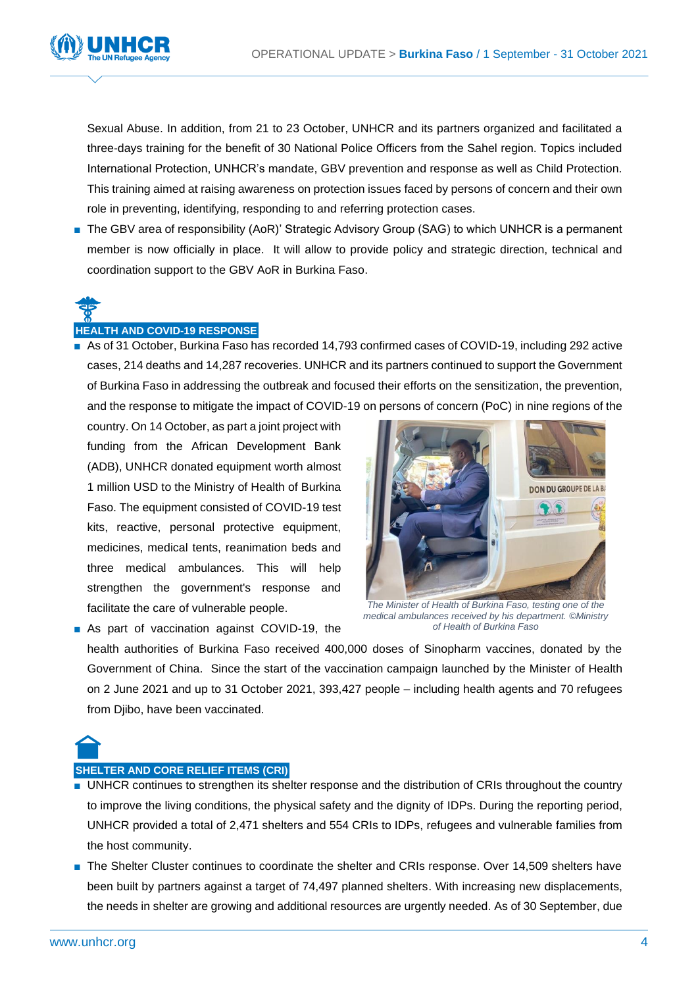

Sexual Abuse. In addition, from 21 to 23 October, UNHCR and its partners organized and facilitated a three-days training for the benefit of 30 National Police Officers from the Sahel region. Topics included International Protection, UNHCR's mandate, GBV prevention and response as well as Child Protection. This training aimed at raising awareness on protection issues faced by persons of concern and their own role in preventing, identifying, responding to and referring protection cases.

■ The GBV area of responsibility (AoR)' Strategic Advisory Group (SAG) to which UNHCR is a permanent member is now officially in place. It will allow to provide policy and strategic direction, technical and coordination support to the GBV AoR in Burkina Faso.

## **HEALTH AND COVID-19 RESPONSE**

■ As of 31 October, Burkina Faso has recorded 14,793 confirmed cases of COVID-19, including 292 active cases, 214 deaths and 14,287 recoveries. UNHCR and its partners continued to support the Government of Burkina Faso in addressing the outbreak and focused their efforts on the sensitization, the prevention, and the response to mitigate the impact of COVID-19 on persons of concern (PoC) in nine regions of the

country. On 14 October, as part a joint project with funding from the African Development Bank (ADB), UNHCR donated equipment worth almost 1 million USD to the Ministry of Health of Burkina Faso. The equipment consisted of COVID-19 test kits, reactive, personal protective equipment, medicines, medical tents, reanimation beds and three medical ambulances. This will help strengthen the government's response and facilitate the care of vulnerable people.

■ As part of vaccination against COVID-19, the



*The Minister of Health of Burkina Faso, testing one of the medical ambulances received by his department. ©Ministry of Health of Burkina Faso*

health authorities of Burkina Faso received 400,000 doses of Sinopharm vaccines, donated by the Government of China. Since the start of the vaccination campaign launched by the Minister of Health on 2 June 2021 and up to 31 October 2021, 393,427 people – including health agents and 70 refugees from Djibo, have been vaccinated.

# **SHELTER AND CORE RELIEF ITEMS (CRI)**

- UNHCR continues to strengthen its shelter response and the distribution of CRIs throughout the country to improve the living conditions, the physical safety and the dignity of IDPs. During the reporting period, UNHCR provided a total of 2,471 shelters and 554 CRIs to IDPs, refugees and vulnerable families from the host community.
- The Shelter Cluster continues to coordinate the shelter and CRIs response. Over 14,509 shelters have been built by partners against a target of 74,497 planned shelters. With increasing new displacements, the needs in shelter are growing and additional resources are urgently needed. As of 30 September, due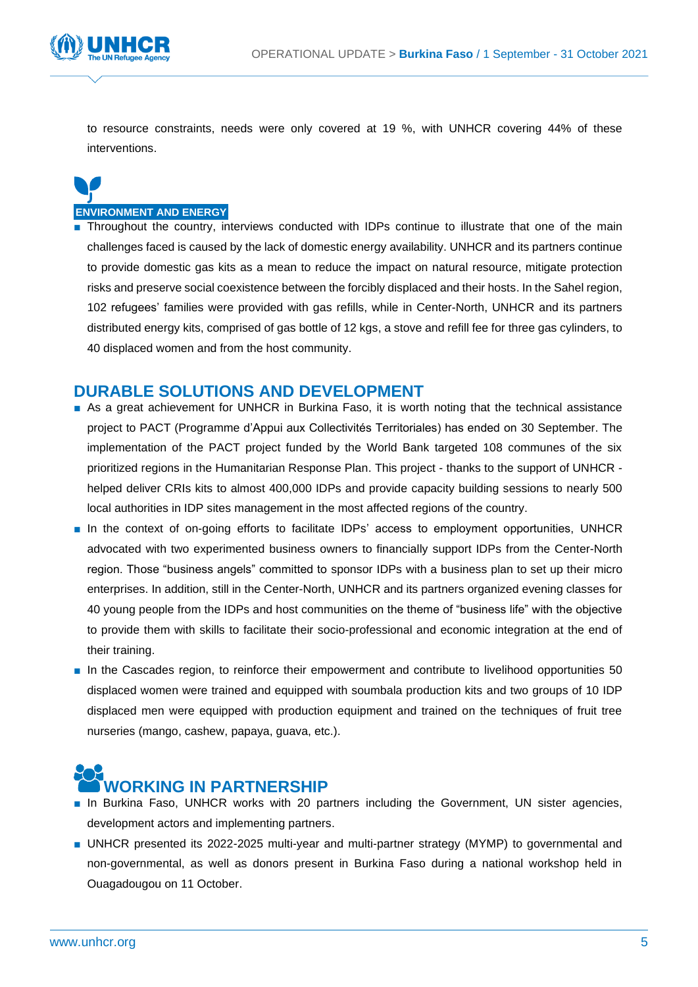

to resource constraints, needs were only covered at 19 %, with UNHCR covering 44% of these interventions.

# **ENVIRONMENT AND ENERGY**

■ Throughout the country, interviews conducted with IDPs continue to illustrate that one of the main challenges faced is caused by the lack of domestic energy availability. UNHCR and its partners continue to provide domestic gas kits as a mean to reduce the impact on natural resource, mitigate protection risks and preserve social coexistence between the forcibly displaced and their hosts. In the Sahel region, 102 refugees' families were provided with gas refills, while in Center-North, UNHCR and its partners distributed energy kits, comprised of gas bottle of 12 kgs, a stove and refill fee for three gas cylinders, to 40 displaced women and from the host community.

## **DURABLE SOLUTIONS AND DEVELOPMENT**

- As a great achievement for UNHCR in Burkina Faso, it is worth noting that the technical assistance project to PACT (Programme d'Appui aux Collectivités Territoriales) has ended on 30 September. The implementation of the PACT project funded by the World Bank targeted 108 communes of the six prioritized regions in the Humanitarian Response Plan. This project - thanks to the support of UNHCR helped deliver CRIs kits to almost 400,000 IDPs and provide capacity building sessions to nearly 500 local authorities in IDP sites management in the most affected regions of the country.
- In the context of on-going efforts to facilitate IDPs' access to employment opportunities, UNHCR advocated with two experimented business owners to financially support IDPs from the Center-North region. Those "business angels" committed to sponsor IDPs with a business plan to set up their micro enterprises. In addition, still in the Center-North, UNHCR and its partners organized evening classes for 40 young people from the IDPs and host communities on the theme of "business life" with the objective to provide them with skills to facilitate their socio-professional and economic integration at the end of their training.
- In the Cascades region, to reinforce their empowerment and contribute to livelihood opportunities 50 displaced women were trained and equipped with soumbala production kits and two groups of 10 IDP displaced men were equipped with production equipment and trained on the techniques of fruit tree nurseries (mango, cashew, papaya, guava, etc.).

# **WORKING IN PARTNERSHIP**

- In Burkina Faso, UNHCR works with 20 partners including the Government, UN sister agencies, development actors and implementing partners.
- UNHCR presented its 2022-2025 multi-year and multi-partner strategy (MYMP) to governmental and non-governmental, as well as donors present in Burkina Faso during a national workshop held in Ouagadougou on 11 October.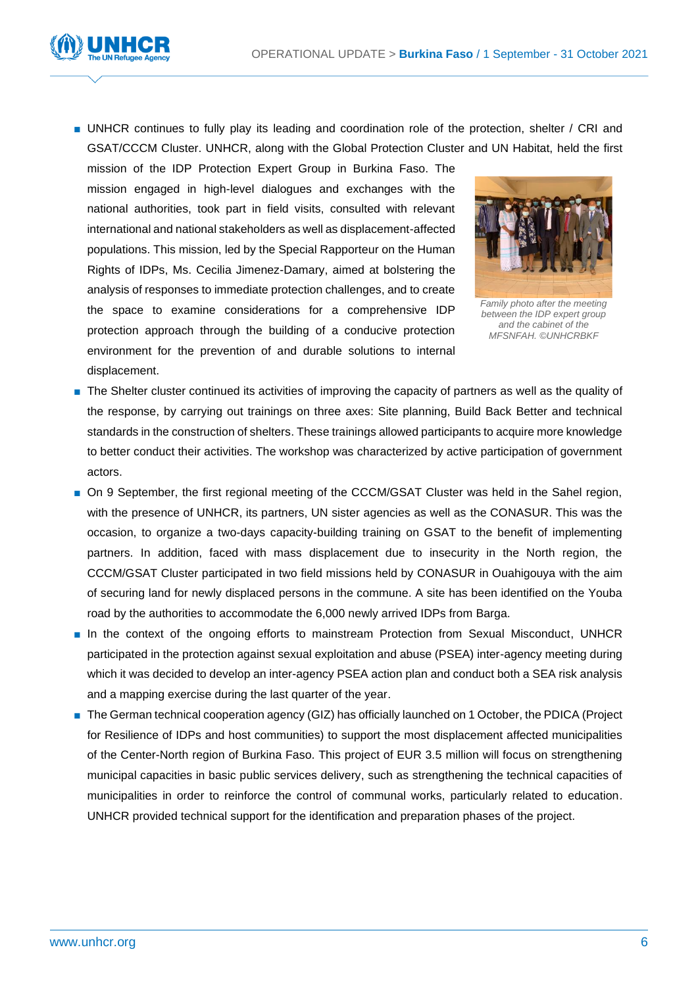

■ UNHCR continues to fully play its leading and coordination role of the protection, shelter / CRI and GSAT/CCCM Cluster. UNHCR, along with the Global Protection Cluster and UN Habitat, held the first

mission of the IDP Protection Expert Group in Burkina Faso. The mission engaged in high-level dialogues and exchanges with the national authorities, took part in field visits, consulted with relevant international and national stakeholders as well as displacement-affected populations. This mission, led by the Special Rapporteur on the Human Rights of IDPs, Ms. Cecilia Jimenez-Damary, aimed at bolstering the analysis of responses to immediate protection challenges, and to create the space to examine considerations for a comprehensive IDP protection approach through the building of a conducive protection environment for the prevention of and durable solutions to internal displacement.



*Family photo after the meeting between the IDP expert group and the cabinet of the MFSNFAH. ©UNHCRBKF*

- The Shelter cluster continued its activities of improving the capacity of partners as well as the quality of the response, by carrying out trainings on three axes: Site planning, Build Back Better and technical standards in the construction of shelters. These trainings allowed participants to acquire more knowledge to better conduct their activities. The workshop was characterized by active participation of government actors.
- On 9 September, the first regional meeting of the CCCM/GSAT Cluster was held in the Sahel region, with the presence of UNHCR, its partners, UN sister agencies as well as the CONASUR. This was the occasion, to organize a two-days capacity-building training on GSAT to the benefit of implementing partners. In addition, faced with mass displacement due to insecurity in the North region, the CCCM/GSAT Cluster participated in two field missions held by CONASUR in Ouahigouya with the aim of securing land for newly displaced persons in the commune. A site has been identified on the Youba road by the authorities to accommodate the 6,000 newly arrived IDPs from Barga.
- In the context of the ongoing efforts to mainstream Protection from Sexual Misconduct, UNHCR participated in the protection against sexual exploitation and abuse (PSEA) inter-agency meeting during which it was decided to develop an inter-agency PSEA action plan and conduct both a SEA risk analysis and a mapping exercise during the last quarter of the year.
- The German technical cooperation agency (GIZ) has officially launched on 1 October, the PDICA (Project for Resilience of IDPs and host communities) to support the most displacement affected municipalities of the Center-North region of Burkina Faso. This project of EUR 3.5 million will focus on strengthening municipal capacities in basic public services delivery, such as strengthening the technical capacities of municipalities in order to reinforce the control of communal works, particularly related to education. UNHCR provided technical support for the identification and preparation phases of the project.